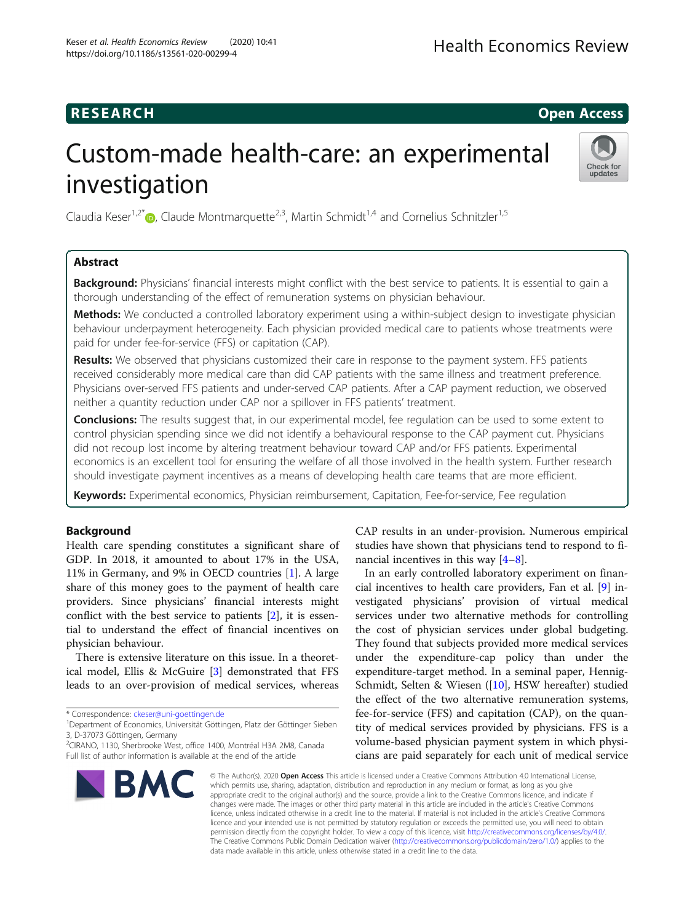## **RESEARCH CHILD CONTROL** CONTROL CONTROL CONTROL CONTROL CONTROL CONTROL CONTROL CONTROL CONTROL CONTROL CONTROL CONTROL CONTROL CONTROL CONTROL CONTROL CONTROL CONTROL CONTROL CONTROL CONTROL CONTROL CONTROL CONTROL CONTR

# Custom-made health-care: an experimental investigation



Claudia Keser<sup>1,2[\\*](http://orcid.org/0000-0002-5562-5900)</sup>  $\bullet$ , Claude Montmarquette<sup>2,3</sup>, Martin Schmidt<sup>1,4</sup> and Cornelius Schnitzler<sup>1,5</sup>

## Abstract

Background: Physicians' financial interests might conflict with the best service to patients. It is essential to gain a thorough understanding of the effect of remuneration systems on physician behaviour.

Methods: We conducted a controlled laboratory experiment using a within-subject design to investigate physician behaviour underpayment heterogeneity. Each physician provided medical care to patients whose treatments were paid for under fee-for-service (FFS) or capitation (CAP).

Results: We observed that physicians customized their care in response to the payment system. FFS patients received considerably more medical care than did CAP patients with the same illness and treatment preference. Physicians over-served FFS patients and under-served CAP patients. After a CAP payment reduction, we observed neither a quantity reduction under CAP nor a spillover in FFS patients' treatment.

Conclusions: The results suggest that, in our experimental model, fee regulation can be used to some extent to control physician spending since we did not identify a behavioural response to the CAP payment cut. Physicians did not recoup lost income by altering treatment behaviour toward CAP and/or FFS patients. Experimental economics is an excellent tool for ensuring the welfare of all those involved in the health system. Further research should investigate payment incentives as a means of developing health care teams that are more efficient.

Keywords: Experimental economics, Physician reimbursement, Capitation, Fee-for-service, Fee regulation

## Background

Health care spending constitutes a significant share of GDP. In 2018, it amounted to about 17% in the USA, 11% in Germany, and 9% in OECD countries [[1\]](#page-11-0). A large share of this money goes to the payment of health care providers. Since physicians' financial interests might conflict with the best service to patients [[2\]](#page-11-0), it is essential to understand the effect of financial incentives on physician behaviour.

There is extensive literature on this issue. In a theoretical model, Ellis & McGuire [[3\]](#page-11-0) demonstrated that FFS leads to an over-provision of medical services, whereas

<sup>2</sup> CIRANO, 1130, Sherbrooke West, office 1400, Montréal H3A 2M8, Canada Full list of author information is available at the end of the article



CAP results in an under-provision. Numerous empirical studies have shown that physicians tend to respond to financial incentives in this way  $[4-8]$  $[4-8]$  $[4-8]$  $[4-8]$ .

In an early controlled laboratory experiment on financial incentives to health care providers, Fan et al. [[9](#page-11-0)] investigated physicians' provision of virtual medical services under two alternative methods for controlling the cost of physician services under global budgeting. They found that subjects provided more medical services under the expenditure-cap policy than under the expenditure-target method. In a seminal paper, Hennig-Schmidt, Selten & Wiesen ([\[10](#page-11-0)], HSW hereafter) studied the effect of the two alternative remuneration systems, fee-for-service (FFS) and capitation (CAP), on the quantity of medical services provided by physicians. FFS is a volume-based physician payment system in which physicians are paid separately for each unit of medical service

© The Author(s), 2020 **Open Access** This article is licensed under a Creative Commons Attribution 4.0 International License, which permits use, sharing, adaptation, distribution and reproduction in any medium or format, as long as you give appropriate credit to the original author(s) and the source, provide a link to the Creative Commons licence, and indicate if changes were made. The images or other third party material in this article are included in the article's Creative Commons licence, unless indicated otherwise in a credit line to the material. If material is not included in the article's Creative Commons licence and your intended use is not permitted by statutory regulation or exceeds the permitted use, you will need to obtain permission directly from the copyright holder. To view a copy of this licence, visit [http://creativecommons.org/licenses/by/4.0/.](http://creativecommons.org/licenses/by/4.0/) The Creative Commons Public Domain Dedication waiver [\(http://creativecommons.org/publicdomain/zero/1.0/](http://creativecommons.org/publicdomain/zero/1.0/)) applies to the data made available in this article, unless otherwise stated in a credit line to the data.

<sup>\*</sup> Correspondence: [ckeser@uni-goettingen.de](mailto:ckeser@uni-goettingen.de) <sup>1</sup>

<sup>&</sup>lt;sup>1</sup>Department of Economics, Universität Göttingen, Platz der Göttinger Sieben 3, D-37073 Göttingen, Germany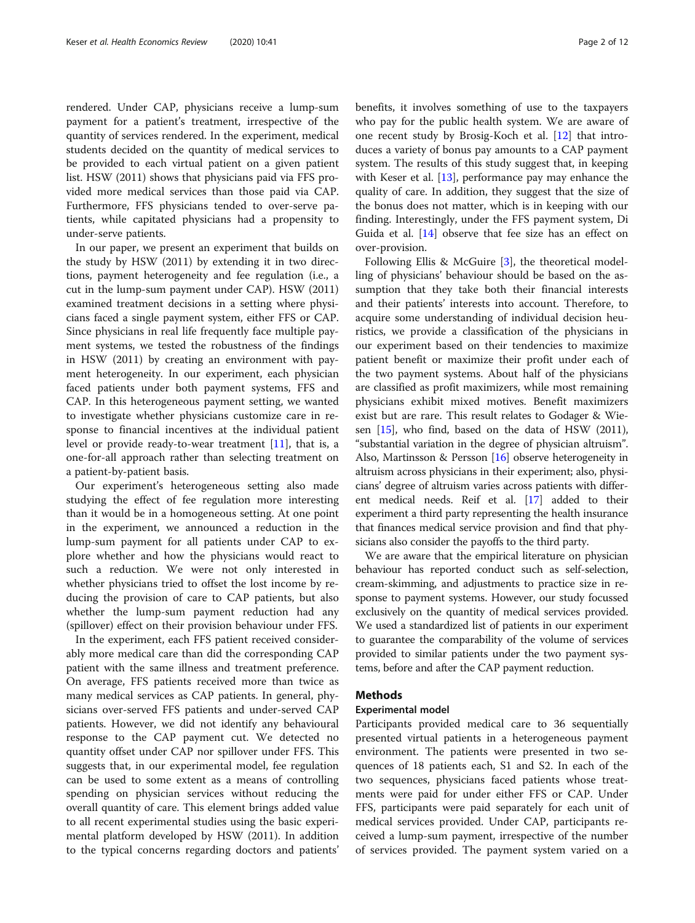rendered. Under CAP, physicians receive a lump-sum payment for a patient's treatment, irrespective of the quantity of services rendered. In the experiment, medical students decided on the quantity of medical services to be provided to each virtual patient on a given patient list. HSW (2011) shows that physicians paid via FFS provided more medical services than those paid via CAP. Furthermore, FFS physicians tended to over-serve patients, while capitated physicians had a propensity to under-serve patients.

In our paper, we present an experiment that builds on the study by HSW (2011) by extending it in two directions, payment heterogeneity and fee regulation (i.e., a cut in the lump-sum payment under CAP). HSW (2011) examined treatment decisions in a setting where physicians faced a single payment system, either FFS or CAP. Since physicians in real life frequently face multiple payment systems, we tested the robustness of the findings in HSW (2011) by creating an environment with payment heterogeneity. In our experiment, each physician faced patients under both payment systems, FFS and CAP. In this heterogeneous payment setting, we wanted to investigate whether physicians customize care in response to financial incentives at the individual patient level or provide ready-to-wear treatment [\[11](#page-11-0)], that is, a one-for-all approach rather than selecting treatment on a patient-by-patient basis.

Our experiment's heterogeneous setting also made studying the effect of fee regulation more interesting than it would be in a homogeneous setting. At one point in the experiment, we announced a reduction in the lump-sum payment for all patients under CAP to explore whether and how the physicians would react to such a reduction. We were not only interested in whether physicians tried to offset the lost income by reducing the provision of care to CAP patients, but also whether the lump-sum payment reduction had any (spillover) effect on their provision behaviour under FFS.

In the experiment, each FFS patient received considerably more medical care than did the corresponding CAP patient with the same illness and treatment preference. On average, FFS patients received more than twice as many medical services as CAP patients. In general, physicians over-served FFS patients and under-served CAP patients. However, we did not identify any behavioural response to the CAP payment cut. We detected no quantity offset under CAP nor spillover under FFS. This suggests that, in our experimental model, fee regulation can be used to some extent as a means of controlling spending on physician services without reducing the overall quantity of care. This element brings added value to all recent experimental studies using the basic experimental platform developed by HSW (2011). In addition to the typical concerns regarding doctors and patients' benefits, it involves something of use to the taxpayers who pay for the public health system. We are aware of one recent study by Brosig-Koch et al. [\[12](#page-11-0)] that introduces a variety of bonus pay amounts to a CAP payment system. The results of this study suggest that, in keeping with Keser et al. [\[13\]](#page-11-0), performance pay may enhance the quality of care. In addition, they suggest that the size of the bonus does not matter, which is in keeping with our finding. Interestingly, under the FFS payment system, Di Guida et al. [\[14\]](#page-11-0) observe that fee size has an effect on over-provision.

Following Ellis & McGuire [[3\]](#page-11-0), the theoretical modelling of physicians' behaviour should be based on the assumption that they take both their financial interests and their patients' interests into account. Therefore, to acquire some understanding of individual decision heuristics, we provide a classification of the physicians in our experiment based on their tendencies to maximize patient benefit or maximize their profit under each of the two payment systems. About half of the physicians are classified as profit maximizers, while most remaining physicians exhibit mixed motives. Benefit maximizers exist but are rare. This result relates to Godager & Wiesen  $[15]$ , who find, based on the data of HSW  $(2011)$ , "substantial variation in the degree of physician altruism". Also, Martinsson & Persson [\[16\]](#page-11-0) observe heterogeneity in altruism across physicians in their experiment; also, physicians' degree of altruism varies across patients with different medical needs. Reif et al. [[17](#page-11-0)] added to their experiment a third party representing the health insurance that finances medical service provision and find that physicians also consider the payoffs to the third party.

We are aware that the empirical literature on physician behaviour has reported conduct such as self-selection, cream-skimming, and adjustments to practice size in response to payment systems. However, our study focussed exclusively on the quantity of medical services provided. We used a standardized list of patients in our experiment to guarantee the comparability of the volume of services provided to similar patients under the two payment systems, before and after the CAP payment reduction.

## Methods

#### Experimental model

Participants provided medical care to 36 sequentially presented virtual patients in a heterogeneous payment environment. The patients were presented in two sequences of 18 patients each, S1 and S2. In each of the two sequences, physicians faced patients whose treatments were paid for under either FFS or CAP. Under FFS, participants were paid separately for each unit of medical services provided. Under CAP, participants received a lump-sum payment, irrespective of the number of services provided. The payment system varied on a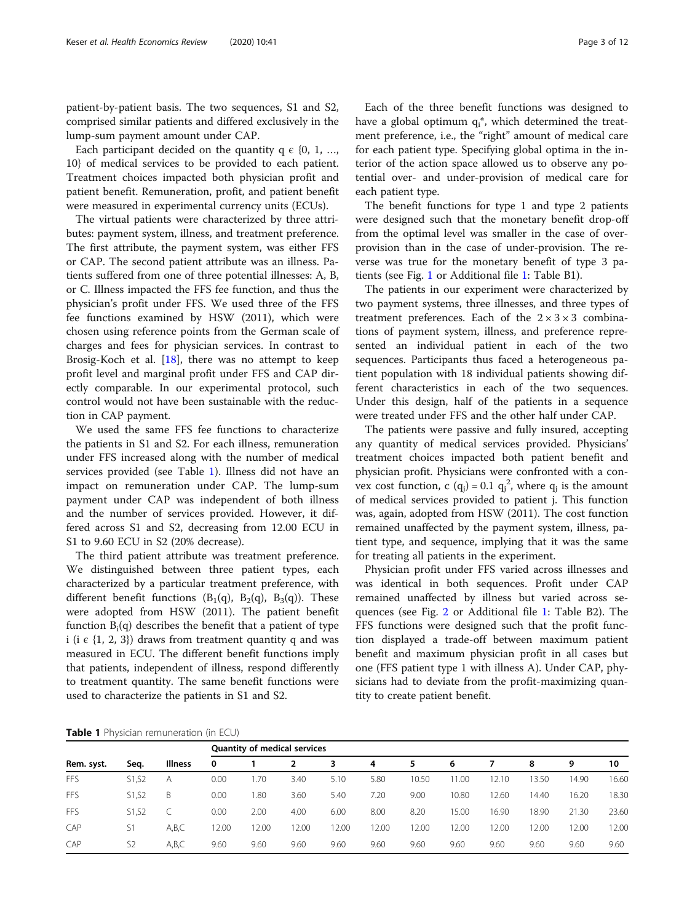patient-by-patient basis. The two sequences, S1 and S2, comprised similar patients and differed exclusively in the lump-sum payment amount under CAP.

Each participant decided on the quantity  $q \in \{0, 1, ...,$ 10} of medical services to be provided to each patient. Treatment choices impacted both physician profit and patient benefit. Remuneration, profit, and patient benefit were measured in experimental currency units (ECUs).

The virtual patients were characterized by three attributes: payment system, illness, and treatment preference. The first attribute, the payment system, was either FFS or CAP. The second patient attribute was an illness. Patients suffered from one of three potential illnesses: A, B, or C. Illness impacted the FFS fee function, and thus the physician's profit under FFS. We used three of the FFS fee functions examined by HSW (2011), which were chosen using reference points from the German scale of charges and fees for physician services. In contrast to Brosig-Koch et al.  $[18]$  $[18]$ , there was no attempt to keep profit level and marginal profit under FFS and CAP directly comparable. In our experimental protocol, such control would not have been sustainable with the reduction in CAP payment.

We used the same FFS fee functions to characterize the patients in S1 and S2. For each illness, remuneration under FFS increased along with the number of medical services provided (see Table 1). Illness did not have an impact on remuneration under CAP. The lump-sum payment under CAP was independent of both illness and the number of services provided. However, it differed across S1 and S2, decreasing from 12.00 ECU in S1 to 9.60 ECU in S2 (20% decrease).

The third patient attribute was treatment preference. We distinguished between three patient types, each characterized by a particular treatment preference, with different benefit functions  $(B_1(q), B_2(q), B_3(q))$ . These were adopted from HSW (2011). The patient benefit function  $B_i(q)$  describes the benefit that a patient of type i (i  $\epsilon$  {1, 2, 3}) draws from treatment quantity q and was measured in ECU. The different benefit functions imply that patients, independent of illness, respond differently to treatment quantity. The same benefit functions were used to characterize the patients in S1 and S2.

Each of the three benefit functions was designed to have a global optimum  $q_i^*$ , which determined the treatment preference, i.e., the "right" amount of medical care for each patient type. Specifying global optima in the interior of the action space allowed us to observe any potential over- and under-provision of medical care for each patient type.

The benefit functions for type 1 and type 2 patients were designed such that the monetary benefit drop-off from the optimal level was smaller in the case of overprovision than in the case of under-provision. The reverse was true for the monetary benefit of type 3 patients (see Fig. [1](#page-3-0) or Additional file [1](#page-10-0): Table B1).

The patients in our experiment were characterized by two payment systems, three illnesses, and three types of treatment preferences. Each of the  $2 \times 3 \times 3$  combinations of payment system, illness, and preference represented an individual patient in each of the two sequences. Participants thus faced a heterogeneous patient population with 18 individual patients showing different characteristics in each of the two sequences. Under this design, half of the patients in a sequence were treated under FFS and the other half under CAP.

The patients were passive and fully insured, accepting any quantity of medical services provided. Physicians' treatment choices impacted both patient benefit and physician profit. Physicians were confronted with a convex cost function, c  $(q_j) = 0.1 q_j^2$ , where  $q_j$  is the amount of medical services provided to patient j. This function was, again, adopted from HSW (2011). The cost function remained unaffected by the payment system, illness, patient type, and sequence, implying that it was the same for treating all patients in the experiment.

Physician profit under FFS varied across illnesses and was identical in both sequences. Profit under CAP remained unaffected by illness but varied across sequences (see Fig. [2](#page-3-0) or Additional file [1](#page-10-0): Table B2). The FFS functions were designed such that the profit function displayed a trade-off between maximum patient benefit and maximum physician profit in all cases but one (FFS patient type 1 with illness A). Under CAP, physicians had to deviate from the profit-maximizing quantity to create patient benefit.

Table 1 Physician remuneration (in ECU)

| Rem. syst. | Seg.           | Illness | <b>Quantity of medical services</b> |       |      |      |       |       |       |       |       |       |       |
|------------|----------------|---------|-------------------------------------|-------|------|------|-------|-------|-------|-------|-------|-------|-------|
|            |                |         | 0                                   |       |      | 3    | 4     | 5     | 6     |       | 8     | 9     | 10    |
| <b>FFS</b> | S1, S2         | A       | 0.00                                | .70   | 3.40 | 5.10 | 5.80  | 10.50 | 1.00  | 2.10  | 13.50 | 14.90 | 16.60 |
| <b>FFS</b> | S1, S2         | B       | 0.00                                | 1.80  | 3.60 | 5.40 | 7.20  | 9.00  | 10.80 | 2.60  | 14.40 | 16.20 | 18.30 |
| <b>FFS</b> | S1.S2          |         | 0.00                                | 2.00  | 4.00 | 6.00 | 8.00  | 8.20  | 15.00 | 16.90 | 18.90 | 21.30 | 23.60 |
| CAP        | S1             | A,B,C   | 12.00                               | 12.00 | 2.00 | 2.00 | 12.00 | 12.00 | 2.00  | 2.00  | 12.00 | 12.00 | 12.00 |
| CAP        | S <sub>2</sub> | A,B,C   | 9.60                                | 9.60  | 9.60 | 9.60 | 9.60  | 9.60  | 9.60  | 9.60  | 9.60  | 9.60  | 9.60  |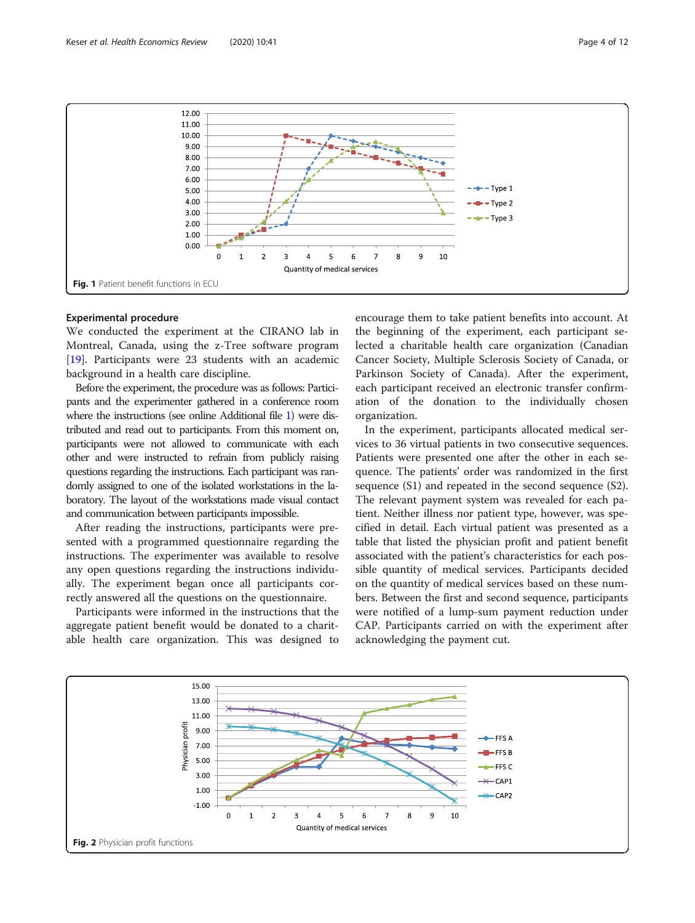<span id="page-3-0"></span>

## Experimental procedure

We conducted the experiment at the CIRANO lab in Montreal, Canada, using the z-Tree software program [[19\]](#page-11-0). Participants were 23 students with an academic background in a health care discipline.

Before the experiment, the procedure was as follows: Participants and the experimenter gathered in a conference room where the instructions (see online Additional file [1\)](#page-10-0) were distributed and read out to participants. From this moment on, participants were not allowed to communicate with each other and were instructed to refrain from publicly raising questions regarding the instructions. Each participant was randomly assigned to one of the isolated workstations in the laboratory. The layout of the workstations made visual contact and communication between participants impossible.

After reading the instructions, participants were presented with a programmed questionnaire regarding the instructions. The experimenter was available to resolve any open questions regarding the instructions individually. The experiment began once all participants correctly answered all the questions on the questionnaire.

Participants were informed in the instructions that the aggregate patient benefit would be donated to a charitable health care organization. This was designed to

encourage them to take patient benefits into account. At the beginning of the experiment, each participant selected a charitable health care organization (Canadian Cancer Society, Multiple Sclerosis Society of Canada, or Parkinson Society of Canada). After the experiment, each participant received an electronic transfer confirmation of the donation to the individually chosen organization.

In the experiment, participants allocated medical services to 36 virtual patients in two consecutive sequences. Patients were presented one after the other in each sequence. The patients' order was randomized in the first sequence (S1) and repeated in the second sequence (S2). The relevant payment system was revealed for each patient. Neither illness nor patient type, however, was specified in detail. Each virtual patient was presented as a table that listed the physician profit and patient benefit associated with the patient's characteristics for each possible quantity of medical services. Participants decided on the quantity of medical services based on these numbers. Between the first and second sequence, participants were notified of a lump-sum payment reduction under CAP. Participants carried on with the experiment after acknowledging the payment cut.

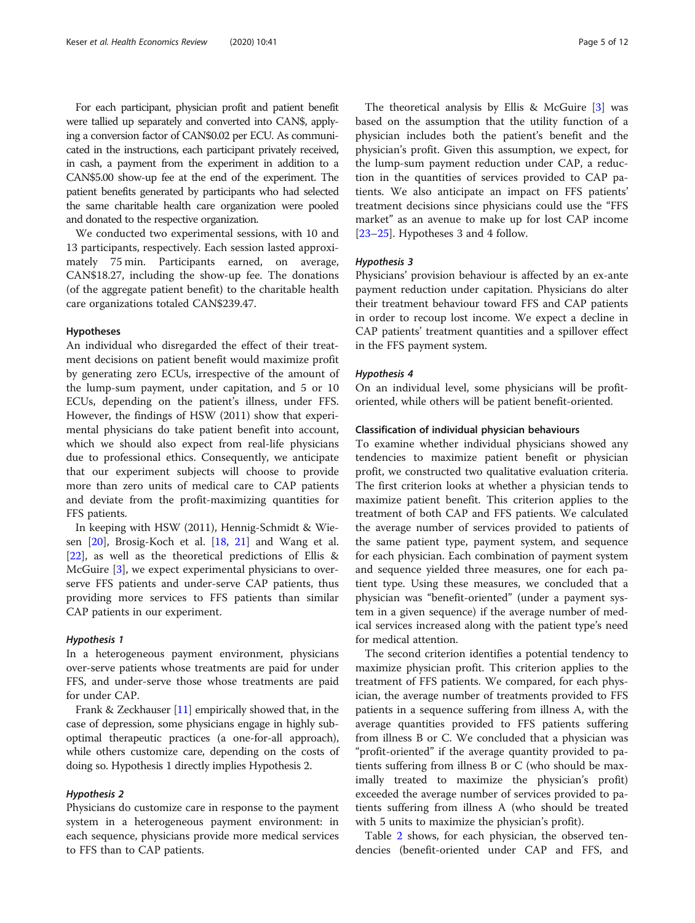For each participant, physician profit and patient benefit were tallied up separately and converted into CAN\$, applying a conversion factor of CAN\$0.02 per ECU. As communicated in the instructions, each participant privately received, in cash, a payment from the experiment in addition to a CAN\$5.00 show-up fee at the end of the experiment. The patient benefits generated by participants who had selected the same charitable health care organization were pooled and donated to the respective organization.

We conducted two experimental sessions, with 10 and 13 participants, respectively. Each session lasted approximately 75 min. Participants earned, on average, CAN\$18.27, including the show-up fee. The donations (of the aggregate patient benefit) to the charitable health care organizations totaled CAN\$239.47.

#### Hypotheses

An individual who disregarded the effect of their treatment decisions on patient benefit would maximize profit by generating zero ECUs, irrespective of the amount of the lump-sum payment, under capitation, and 5 or 10 ECUs, depending on the patient's illness, under FFS. However, the findings of HSW (2011) show that experimental physicians do take patient benefit into account, which we should also expect from real-life physicians due to professional ethics. Consequently, we anticipate that our experiment subjects will choose to provide more than zero units of medical care to CAP patients and deviate from the profit-maximizing quantities for FFS patients.

In keeping with HSW (2011), Hennig-Schmidt & Wiesen [[20](#page-11-0)], Brosig-Koch et al. [\[18](#page-11-0), [21](#page-11-0)] and Wang et al. [[22\]](#page-11-0), as well as the theoretical predictions of Ellis & McGuire [[3\]](#page-11-0), we expect experimental physicians to overserve FFS patients and under-serve CAP patients, thus providing more services to FFS patients than similar CAP patients in our experiment.

#### Hypothesis 1

In a heterogeneous payment environment, physicians over-serve patients whose treatments are paid for under FFS, and under-serve those whose treatments are paid for under CAP.

Frank & Zeckhauser [[11\]](#page-11-0) empirically showed that, in the case of depression, some physicians engage in highly suboptimal therapeutic practices (a one-for-all approach), while others customize care, depending on the costs of doing so. Hypothesis 1 directly implies Hypothesis 2.

#### Hypothesis 2

Physicians do customize care in response to the payment system in a heterogeneous payment environment: in each sequence, physicians provide more medical services to FFS than to CAP patients.

The theoretical analysis by Ellis & McGuire [[3\]](#page-11-0) was based on the assumption that the utility function of a physician includes both the patient's benefit and the physician's profit. Given this assumption, we expect, for the lump-sum payment reduction under CAP, a reduction in the quantities of services provided to CAP patients. We also anticipate an impact on FFS patients' treatment decisions since physicians could use the "FFS market" as an avenue to make up for lost CAP income [[23](#page-11-0)–[25](#page-11-0)]. Hypotheses 3 and 4 follow.

#### Hypothesis 3

Physicians' provision behaviour is affected by an ex-ante payment reduction under capitation. Physicians do alter their treatment behaviour toward FFS and CAP patients in order to recoup lost income. We expect a decline in CAP patients' treatment quantities and a spillover effect in the FFS payment system.

#### Hypothesis 4

On an individual level, some physicians will be profitoriented, while others will be patient benefit-oriented.

#### Classification of individual physician behaviours

To examine whether individual physicians showed any tendencies to maximize patient benefit or physician profit, we constructed two qualitative evaluation criteria. The first criterion looks at whether a physician tends to maximize patient benefit. This criterion applies to the treatment of both CAP and FFS patients. We calculated the average number of services provided to patients of the same patient type, payment system, and sequence for each physician. Each combination of payment system and sequence yielded three measures, one for each patient type. Using these measures, we concluded that a physician was "benefit-oriented" (under a payment system in a given sequence) if the average number of medical services increased along with the patient type's need for medical attention.

The second criterion identifies a potential tendency to maximize physician profit. This criterion applies to the treatment of FFS patients. We compared, for each physician, the average number of treatments provided to FFS patients in a sequence suffering from illness A, with the average quantities provided to FFS patients suffering from illness B or C. We concluded that a physician was "profit-oriented" if the average quantity provided to patients suffering from illness B or C (who should be maximally treated to maximize the physician's profit) exceeded the average number of services provided to patients suffering from illness A (who should be treated with 5 units to maximize the physician's profit).

Table [2](#page-5-0) shows, for each physician, the observed tendencies (benefit-oriented under CAP and FFS, and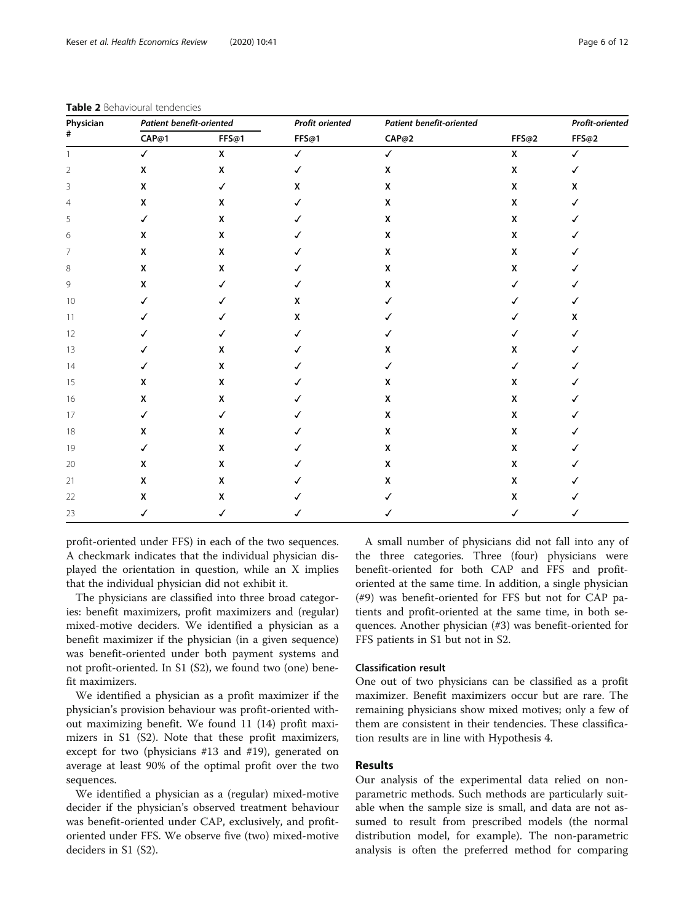| Physician<br># | <b>Patient benefit-oriented</b> |                    | Profit oriented | <b>Patient benefit-oriented</b> |                    | Profit-oriented |  |
|----------------|---------------------------------|--------------------|-----------------|---------------------------------|--------------------|-----------------|--|
|                | CAP@1                           | FFS@1              | FFS@1           | CAP@2                           | FFS@2              | FFS@2           |  |
| $\mathbf{1}$   | $\checkmark$                    | $\pmb{\mathsf{X}}$ | $\checkmark$    | $\checkmark$                    | $\pmb{\mathsf{x}}$ | $\checkmark$    |  |
| $\overline{2}$ | X                               | $\pmb{\mathsf{x}}$ | $\checkmark$    | X                               | $\pmb{\mathsf{X}}$ | $\checkmark$    |  |
| 3              | X                               | $\checkmark$       | X               | X                               | X                  | X               |  |
| $\overline{4}$ | X                               | X                  | ✓               | X                               | X                  | ✓               |  |
| 5              | $\checkmark$                    | X                  | ✓               | X                               | X                  | √               |  |
| 6              | X                               | X                  | ✓               | X                               | X                  |                 |  |
| 7              | X                               | X                  |                 | $\pmb{\mathsf{X}}$              | $\pmb{\mathsf{X}}$ |                 |  |
| 8              | X                               | X                  | J               | X                               | X                  |                 |  |
| 9              | X                               | ✓                  | ℐ               | X                               | ✓                  |                 |  |
| 10             | ✓                               | J                  | X               | ✓                               | ✓                  | ✓               |  |
| 11             | ✓                               |                    | X               |                                 | ✓                  | X               |  |
| 12             | ✓                               | ✓                  | ℐ               |                                 |                    | ✓               |  |
| 13             | ✓                               | X                  |                 | X                               | X                  |                 |  |
| 14             | ✓                               | X                  |                 | ✓                               | ✓                  |                 |  |
| 15             | X                               | X                  |                 | X                               | X                  |                 |  |
| 16             | X                               | X                  | ✓               | X                               | X                  | ℐ               |  |
| 17             | $\checkmark$                    | ✓                  | ✓               | X                               | $\pmb{\mathsf{x}}$ | ✓               |  |
| 18             | X                               | X                  | ✓               | X                               | X                  |                 |  |
| 19             | $\checkmark$                    | X                  | ✓               | X                               | $\pmb{\mathsf{X}}$ | ✓               |  |
| 20             | X                               | X                  | ✓               | X                               | X                  |                 |  |
| 21             | X                               | X                  | ✓               | X                               | X                  |                 |  |
| 22             | X                               | X                  | ✓               | ✓                               | X                  | √               |  |
| 23             | $\checkmark$                    | $\checkmark$       | ✓               | ✓                               | $\checkmark$       | ✓               |  |

<span id="page-5-0"></span>Table 2 Behavioural tendencies

profit-oriented under FFS) in each of the two sequences. A checkmark indicates that the individual physician displayed the orientation in question, while an X implies that the individual physician did not exhibit it.

The physicians are classified into three broad categories: benefit maximizers, profit maximizers and (regular) mixed-motive deciders. We identified a physician as a benefit maximizer if the physician (in a given sequence) was benefit-oriented under both payment systems and not profit-oriented. In S1 (S2), we found two (one) benefit maximizers.

We identified a physician as a profit maximizer if the physician's provision behaviour was profit-oriented without maximizing benefit. We found 11 (14) profit maximizers in S1 (S2). Note that these profit maximizers, except for two (physicians #13 and #19), generated on average at least 90% of the optimal profit over the two sequences.

We identified a physician as a (regular) mixed-motive decider if the physician's observed treatment behaviour was benefit-oriented under CAP, exclusively, and profitoriented under FFS. We observe five (two) mixed-motive deciders in S1 (S2).

A small number of physicians did not fall into any of the three categories. Three (four) physicians were benefit-oriented for both CAP and FFS and profitoriented at the same time. In addition, a single physician (#9) was benefit-oriented for FFS but not for CAP patients and profit-oriented at the same time, in both sequences. Another physician (#3) was benefit-oriented for FFS patients in S1 but not in S2.

## Classification result

One out of two physicians can be classified as a profit maximizer. Benefit maximizers occur but are rare. The remaining physicians show mixed motives; only a few of them are consistent in their tendencies. These classification results are in line with Hypothesis 4.

## Results

Our analysis of the experimental data relied on nonparametric methods. Such methods are particularly suitable when the sample size is small, and data are not assumed to result from prescribed models (the normal distribution model, for example). The non-parametric analysis is often the preferred method for comparing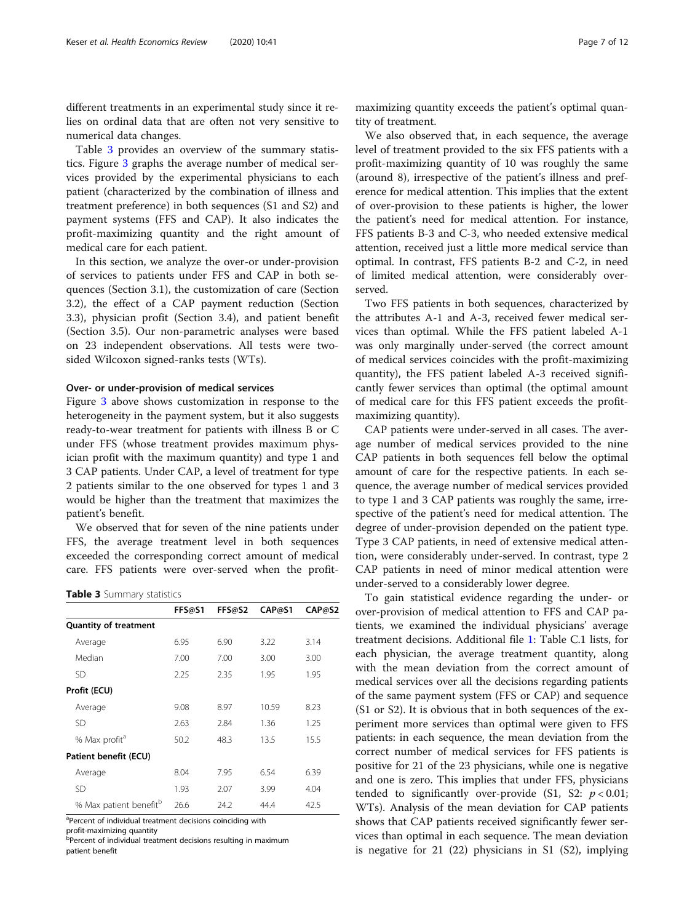<span id="page-6-0"></span>different treatments in an experimental study since it relies on ordinal data that are often not very sensitive to numerical data changes.

Table 3 provides an overview of the summary statistics. Figure [3](#page-7-0) graphs the average number of medical services provided by the experimental physicians to each patient (characterized by the combination of illness and treatment preference) in both sequences (S1 and S2) and payment systems (FFS and CAP). It also indicates the profit-maximizing quantity and the right amount of medical care for each patient.

In this section, we analyze the over-or under-provision of services to patients under FFS and CAP in both sequences (Section 3.1), the customization of care (Section 3.2), the effect of a CAP payment reduction (Section 3.3), physician profit (Section 3.4), and patient benefit (Section 3.5). Our non-parametric analyses were based on 23 independent observations. All tests were twosided Wilcoxon signed-ranks tests (WTs).

#### Over- or under-provision of medical services

Figure [3](#page-7-0) above shows customization in response to the heterogeneity in the payment system, but it also suggests ready-to-wear treatment for patients with illness B or C under FFS (whose treatment provides maximum physician profit with the maximum quantity) and type 1 and 3 CAP patients. Under CAP, a level of treatment for type 2 patients similar to the one observed for types 1 and 3 would be higher than the treatment that maximizes the patient's benefit.

We observed that for seven of the nine patients under FFS, the average treatment level in both sequences exceeded the corresponding correct amount of medical care. FFS patients were over-served when the profit-

**Table 3** Summary statistics

|                                    | FFS@S1 | FFS@S2 | CAP@S1 | CAP@S2 |
|------------------------------------|--------|--------|--------|--------|
| <b>Quantity of treatment</b>       |        |        |        |        |
| Average                            | 6.95   | 6.90   | 3.22   | 3.14   |
| Median                             | 7.00   | 7.00   | 3.00   | 3.00   |
| SD                                 | 2.25   | 2.35   | 1.95   | 1.95   |
| Profit (ECU)                       |        |        |        |        |
| Average                            | 9.08   | 8.97   | 10.59  | 8.23   |
| SD                                 | 2.63   | 2.84   | 1.36   | 1.25   |
| % Max profit <sup>a</sup>          | 50.2   | 48.3   | 13.5   | 15.5   |
| Patient benefit (ECU)              |        |        |        |        |
| Average                            | 8.04   | 7.95   | 6.54   | 6.39   |
| SD                                 | 1.93   | 2.07   | 3.99   | 4.04   |
| % Max patient benefit <sup>b</sup> | 26.6   | 24.2   | 44.4   | 42.5   |

<sup>a</sup>Percent of individual treatment decisions coinciding with

profit-maximizing quantity

**b** Percent of individual treatment decisions resulting in maximum patient benefit

maximizing quantity exceeds the patient's optimal quantity of treatment.

We also observed that, in each sequence, the average level of treatment provided to the six FFS patients with a profit-maximizing quantity of 10 was roughly the same (around 8), irrespective of the patient's illness and preference for medical attention. This implies that the extent of over-provision to these patients is higher, the lower the patient's need for medical attention. For instance, FFS patients B-3 and C-3, who needed extensive medical attention, received just a little more medical service than optimal. In contrast, FFS patients B-2 and C-2, in need of limited medical attention, were considerably overserved.

Two FFS patients in both sequences, characterized by the attributes A-1 and A-3, received fewer medical services than optimal. While the FFS patient labeled A-1 was only marginally under-served (the correct amount of medical services coincides with the profit-maximizing quantity), the FFS patient labeled A-3 received significantly fewer services than optimal (the optimal amount of medical care for this FFS patient exceeds the profitmaximizing quantity).

CAP patients were under-served in all cases. The average number of medical services provided to the nine CAP patients in both sequences fell below the optimal amount of care for the respective patients. In each sequence, the average number of medical services provided to type 1 and 3 CAP patients was roughly the same, irrespective of the patient's need for medical attention. The degree of under-provision depended on the patient type. Type 3 CAP patients, in need of extensive medical attention, were considerably under-served. In contrast, type 2 CAP patients in need of minor medical attention were under-served to a considerably lower degree.

To gain statistical evidence regarding the under- or over-provision of medical attention to FFS and CAP patients, we examined the individual physicians' average treatment decisions. Additional file [1](#page-10-0): Table C.1 lists, for each physician, the average treatment quantity, along with the mean deviation from the correct amount of medical services over all the decisions regarding patients of the same payment system (FFS or CAP) and sequence (S1 or S2). It is obvious that in both sequences of the experiment more services than optimal were given to FFS patients: in each sequence, the mean deviation from the correct number of medical services for FFS patients is positive for 21 of the 23 physicians, while one is negative and one is zero. This implies that under FFS, physicians tended to significantly over-provide (S1, S2:  $p < 0.01$ ; WTs). Analysis of the mean deviation for CAP patients shows that CAP patients received significantly fewer services than optimal in each sequence. The mean deviation is negative for 21 (22) physicians in S1 (S2), implying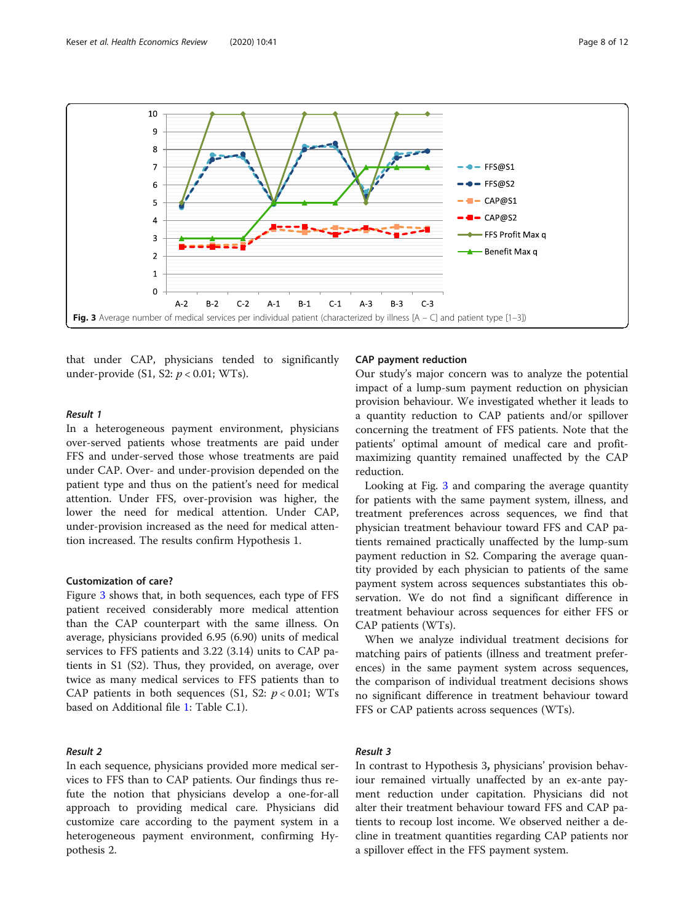<span id="page-7-0"></span>

that under CAP, physicians tended to significantly under-provide  $(S1, S2: p < 0.01; WTs)$ .

#### Result 1

In a heterogeneous payment environment, physicians over-served patients whose treatments are paid under FFS and under-served those whose treatments are paid under CAP. Over- and under-provision depended on the patient type and thus on the patient's need for medical attention. Under FFS, over-provision was higher, the lower the need for medical attention. Under CAP, under-provision increased as the need for medical attention increased. The results confirm Hypothesis 1.

#### Customization of care?

Figure 3 shows that, in both sequences, each type of FFS patient received considerably more medical attention than the CAP counterpart with the same illness. On average, physicians provided 6.95 (6.90) units of medical services to FFS patients and 3.22 (3.14) units to CAP patients in S1 (S2). Thus, they provided, on average, over twice as many medical services to FFS patients than to CAP patients in both sequences (S1, S2:  $p < 0.01$ ; WTs based on Additional file [1](#page-10-0): Table C.1).

#### Result 2

In each sequence, physicians provided more medical services to FFS than to CAP patients. Our findings thus refute the notion that physicians develop a one-for-all approach to providing medical care. Physicians did customize care according to the payment system in a heterogeneous payment environment, confirming Hypothesis 2.

#### CAP payment reduction

Our study's major concern was to analyze the potential impact of a lump-sum payment reduction on physician provision behaviour. We investigated whether it leads to a quantity reduction to CAP patients and/or spillover concerning the treatment of FFS patients. Note that the patients' optimal amount of medical care and profitmaximizing quantity remained unaffected by the CAP reduction.

Looking at Fig. 3 and comparing the average quantity for patients with the same payment system, illness, and treatment preferences across sequences, we find that physician treatment behaviour toward FFS and CAP patients remained practically unaffected by the lump-sum payment reduction in S2. Comparing the average quantity provided by each physician to patients of the same payment system across sequences substantiates this observation. We do not find a significant difference in treatment behaviour across sequences for either FFS or CAP patients (WTs).

When we analyze individual treatment decisions for matching pairs of patients (illness and treatment preferences) in the same payment system across sequences, the comparison of individual treatment decisions shows no significant difference in treatment behaviour toward FFS or CAP patients across sequences (WTs).

## Result 3

In contrast to Hypothesis 3, physicians' provision behaviour remained virtually unaffected by an ex-ante payment reduction under capitation. Physicians did not alter their treatment behaviour toward FFS and CAP patients to recoup lost income. We observed neither a decline in treatment quantities regarding CAP patients nor a spillover effect in the FFS payment system.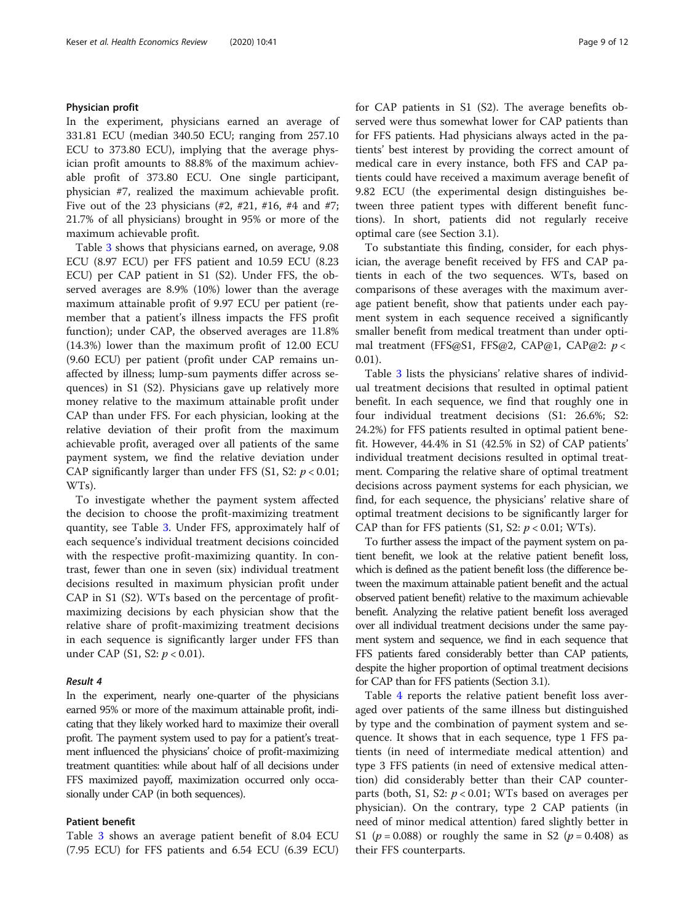#### Physician profit

In the experiment, physicians earned an average of 331.81 ECU (median 340.50 ECU; ranging from 257.10 ECU to 373.80 ECU), implying that the average physician profit amounts to 88.8% of the maximum achievable profit of 373.80 ECU. One single participant, physician #7, realized the maximum achievable profit. Five out of the 23 physicians  $(\#2, \#21, \#16, \#4$  and  $\#7;$ 21.7% of all physicians) brought in 95% or more of the maximum achievable profit.

Table [3](#page-6-0) shows that physicians earned, on average, 9.08 ECU (8.97 ECU) per FFS patient and 10.59 ECU (8.23 ECU) per CAP patient in S1 (S2). Under FFS, the observed averages are 8.9% (10%) lower than the average maximum attainable profit of 9.97 ECU per patient (remember that a patient's illness impacts the FFS profit function); under CAP, the observed averages are 11.8% (14.3%) lower than the maximum profit of 12.00 ECU (9.60 ECU) per patient (profit under CAP remains unaffected by illness; lump-sum payments differ across sequences) in S1 (S2). Physicians gave up relatively more money relative to the maximum attainable profit under CAP than under FFS. For each physician, looking at the relative deviation of their profit from the maximum achievable profit, averaged over all patients of the same payment system, we find the relative deviation under CAP significantly larger than under FFS (S1, S2:  $p < 0.01$ ; WTs).

To investigate whether the payment system affected the decision to choose the profit-maximizing treatment quantity, see Table [3.](#page-6-0) Under FFS, approximately half of each sequence's individual treatment decisions coincided with the respective profit-maximizing quantity. In contrast, fewer than one in seven (six) individual treatment decisions resulted in maximum physician profit under CAP in S1 (S2). WTs based on the percentage of profitmaximizing decisions by each physician show that the relative share of profit-maximizing treatment decisions in each sequence is significantly larger under FFS than under CAP (S1, S2:  $p < 0.01$ ).

#### Result 4

In the experiment, nearly one-quarter of the physicians earned 95% or more of the maximum attainable profit, indicating that they likely worked hard to maximize their overall profit. The payment system used to pay for a patient's treatment influenced the physicians' choice of profit-maximizing treatment quantities: while about half of all decisions under FFS maximized payoff, maximization occurred only occasionally under CAP (in both sequences).

## Patient benefit

Table [3](#page-6-0) shows an average patient benefit of 8.04 ECU (7.95 ECU) for FFS patients and 6.54 ECU (6.39 ECU) for CAP patients in S1 (S2). The average benefits observed were thus somewhat lower for CAP patients than for FFS patients. Had physicians always acted in the patients' best interest by providing the correct amount of medical care in every instance, both FFS and CAP patients could have received a maximum average benefit of 9.82 ECU (the experimental design distinguishes between three patient types with different benefit functions). In short, patients did not regularly receive optimal care (see Section 3.1).

To substantiate this finding, consider, for each physician, the average benefit received by FFS and CAP patients in each of the two sequences. WTs, based on comparisons of these averages with the maximum average patient benefit, show that patients under each payment system in each sequence received a significantly smaller benefit from medical treatment than under optimal treatment (FFS@S1, FFS@2, CAP@1, CAP@2: p < 0.01).

Table [3](#page-6-0) lists the physicians' relative shares of individual treatment decisions that resulted in optimal patient benefit. In each sequence, we find that roughly one in four individual treatment decisions (S1: 26.6%; S2: 24.2%) for FFS patients resulted in optimal patient benefit. However, 44.4% in S1 (42.5% in S2) of CAP patients' individual treatment decisions resulted in optimal treatment. Comparing the relative share of optimal treatment decisions across payment systems for each physician, we find, for each sequence, the physicians' relative share of optimal treatment decisions to be significantly larger for CAP than for FFS patients (S1, S2:  $p < 0.01$ ; WTs).

To further assess the impact of the payment system on patient benefit, we look at the relative patient benefit loss, which is defined as the patient benefit loss (the difference between the maximum attainable patient benefit and the actual observed patient benefit) relative to the maximum achievable benefit. Analyzing the relative patient benefit loss averaged over all individual treatment decisions under the same payment system and sequence, we find in each sequence that FFS patients fared considerably better than CAP patients, despite the higher proportion of optimal treatment decisions for CAP than for FFS patients (Section 3.1).

Table [4](#page-9-0) reports the relative patient benefit loss averaged over patients of the same illness but distinguished by type and the combination of payment system and sequence. It shows that in each sequence, type 1 FFS patients (in need of intermediate medical attention) and type 3 FFS patients (in need of extensive medical attention) did considerably better than their CAP counterparts (both, S1, S2:  $p < 0.01$ ; WTs based on averages per physician). On the contrary, type 2 CAP patients (in need of minor medical attention) fared slightly better in S1 ( $p = 0.088$ ) or roughly the same in S2 ( $p = 0.408$ ) as their FFS counterparts.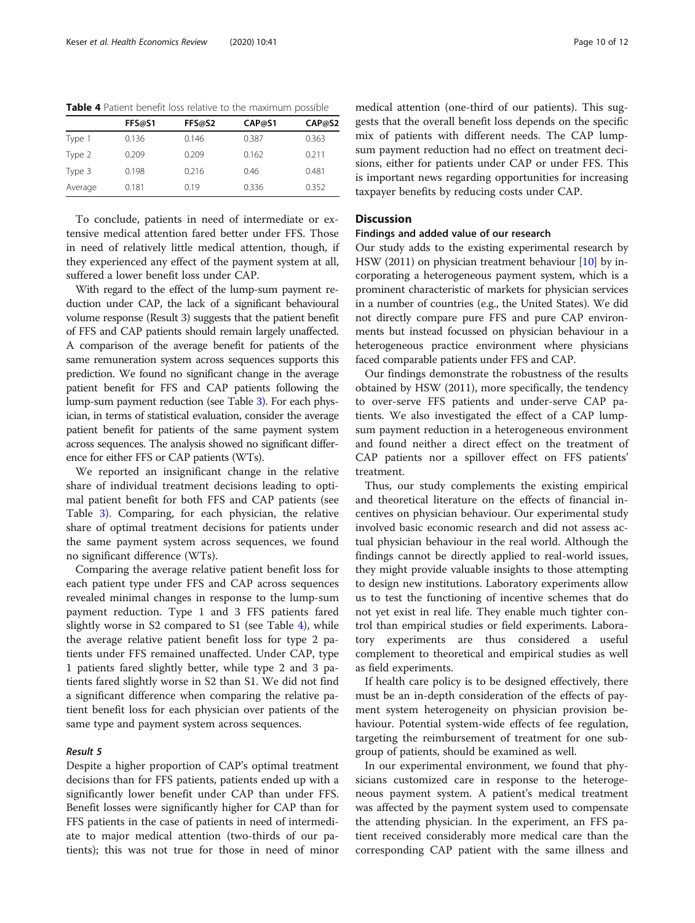|         | FFS@S1 | FFS@S2 | CAP@51 | CAP@52 |
|---------|--------|--------|--------|--------|
| Type 1  | 0.136  | 0.146  | 0.387  | 0.363  |
| Type 2  | 0.209  | 0.209  | 0.162  | 0.211  |
| Type 3  | 0.198  | 0.216  | 0.46   | 0.481  |
| Average | 0.181  | 0.19   | 0.336  | 0.352  |

<span id="page-9-0"></span>Table 4 Patient benefit loss relative to the maximum possible

To conclude, patients in need of intermediate or extensive medical attention fared better under FFS. Those in need of relatively little medical attention, though, if

they experienced any effect of the payment system at all, suffered a lower benefit loss under CAP. With regard to the effect of the lump-sum payment reduction under CAP, the lack of a significant behavioural volume response (Result 3) suggests that the patient benefit of FFS and CAP patients should remain largely unaffected. A comparison of the average benefit for patients of the same remuneration system across sequences supports this

prediction. We found no significant change in the average patient benefit for FFS and CAP patients following the lump-sum payment reduction (see Table [3\)](#page-6-0). For each physician, in terms of statistical evaluation, consider the average patient benefit for patients of the same payment system across sequences. The analysis showed no significant difference for either FFS or CAP patients (WTs).

We reported an insignificant change in the relative share of individual treatment decisions leading to optimal patient benefit for both FFS and CAP patients (see Table [3](#page-6-0)). Comparing, for each physician, the relative share of optimal treatment decisions for patients under the same payment system across sequences, we found no significant difference (WTs).

Comparing the average relative patient benefit loss for each patient type under FFS and CAP across sequences revealed minimal changes in response to the lump-sum payment reduction. Type 1 and 3 FFS patients fared slightly worse in S2 compared to S1 (see Table 4), while the average relative patient benefit loss for type 2 patients under FFS remained unaffected. Under CAP, type 1 patients fared slightly better, while type 2 and 3 patients fared slightly worse in S2 than S1. We did not find a significant difference when comparing the relative patient benefit loss for each physician over patients of the same type and payment system across sequences.

#### Result 5

Despite a higher proportion of CAP's optimal treatment decisions than for FFS patients, patients ended up with a significantly lower benefit under CAP than under FFS. Benefit losses were significantly higher for CAP than for FFS patients in the case of patients in need of intermediate to major medical attention (two-thirds of our patients); this was not true for those in need of minor

medical attention (one-third of our patients). This suggests that the overall benefit loss depends on the specific mix of patients with different needs. The CAP lumpsum payment reduction had no effect on treatment decisions, either for patients under CAP or under FFS. This is important news regarding opportunities for increasing taxpayer benefits by reducing costs under CAP.

## **Discussion**

## Findings and added value of our research

Our study adds to the existing experimental research by HSW (2011) on physician treatment behaviour [\[10\]](#page-11-0) by incorporating a heterogeneous payment system, which is a prominent characteristic of markets for physician services in a number of countries (e.g., the United States). We did not directly compare pure FFS and pure CAP environments but instead focussed on physician behaviour in a heterogeneous practice environment where physicians faced comparable patients under FFS and CAP.

Our findings demonstrate the robustness of the results obtained by HSW (2011), more specifically, the tendency to over-serve FFS patients and under-serve CAP patients. We also investigated the effect of a CAP lumpsum payment reduction in a heterogeneous environment and found neither a direct effect on the treatment of CAP patients nor a spillover effect on FFS patients' treatment.

Thus, our study complements the existing empirical and theoretical literature on the effects of financial incentives on physician behaviour. Our experimental study involved basic economic research and did not assess actual physician behaviour in the real world. Although the findings cannot be directly applied to real-world issues, they might provide valuable insights to those attempting to design new institutions. Laboratory experiments allow us to test the functioning of incentive schemes that do not yet exist in real life. They enable much tighter control than empirical studies or field experiments. Laboratory experiments are thus considered a useful complement to theoretical and empirical studies as well as field experiments.

If health care policy is to be designed effectively, there must be an in-depth consideration of the effects of payment system heterogeneity on physician provision behaviour. Potential system-wide effects of fee regulation, targeting the reimbursement of treatment for one subgroup of patients, should be examined as well.

In our experimental environment, we found that physicians customized care in response to the heterogeneous payment system. A patient's medical treatment was affected by the payment system used to compensate the attending physician. In the experiment, an FFS patient received considerably more medical care than the corresponding CAP patient with the same illness and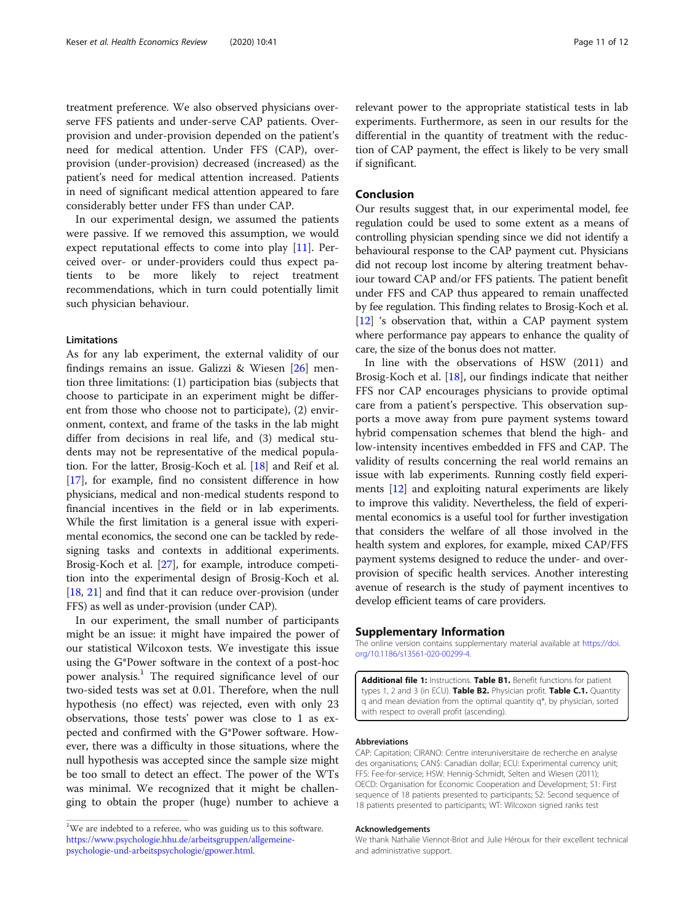<span id="page-10-0"></span>serve FFS patients and under-serve CAP patients. Overprovision and under-provision depended on the patient's need for medical attention. Under FFS (CAP), overprovision (under-provision) decreased (increased) as the patient's need for medical attention increased. Patients in need of significant medical attention appeared to fare considerably better under FFS than under CAP.

In our experimental design, we assumed the patients were passive. If we removed this assumption, we would expect reputational effects to come into play [\[11\]](#page-11-0). Perceived over- or under-providers could thus expect patients to be more likely to reject treatment recommendations, which in turn could potentially limit such physician behaviour.

#### Limitations

As for any lab experiment, the external validity of our findings remains an issue. Galizzi & Wiesen [[26\]](#page-11-0) mention three limitations: (1) participation bias (subjects that choose to participate in an experiment might be different from those who choose not to participate), (2) environment, context, and frame of the tasks in the lab might differ from decisions in real life, and (3) medical students may not be representative of the medical population. For the latter, Brosig-Koch et al. [[18](#page-11-0)] and Reif et al. [[17](#page-11-0)], for example, find no consistent difference in how physicians, medical and non-medical students respond to financial incentives in the field or in lab experiments. While the first limitation is a general issue with experimental economics, the second one can be tackled by redesigning tasks and contexts in additional experiments. Brosig-Koch et al. [\[27\]](#page-11-0), for example, introduce competition into the experimental design of Brosig-Koch et al. [[18](#page-11-0), [21](#page-11-0)] and find that it can reduce over-provision (under FFS) as well as under-provision (under CAP).

In our experiment, the small number of participants might be an issue: it might have impaired the power of our statistical Wilcoxon tests. We investigate this issue using the G\*Power software in the context of a post-hoc power analysis.<sup>1</sup> The required significance level of our two-sided tests was set at 0.01. Therefore, when the null hypothesis (no effect) was rejected, even with only 23 observations, those tests' power was close to 1 as expected and confirmed with the G\*Power software. However, there was a difficulty in those situations, where the null hypothesis was accepted since the sample size might be too small to detect an effect. The power of the WTs was minimal. We recognized that it might be challenging to obtain the proper (huge) number to achieve a

relevant power to the appropriate statistical tests in lab experiments. Furthermore, as seen in our results for the differential in the quantity of treatment with the reduction of CAP payment, the effect is likely to be very small if significant.

## Conclusion

Our results suggest that, in our experimental model, fee regulation could be used to some extent as a means of controlling physician spending since we did not identify a behavioural response to the CAP payment cut. Physicians did not recoup lost income by altering treatment behaviour toward CAP and/or FFS patients. The patient benefit under FFS and CAP thus appeared to remain unaffected by fee regulation. This finding relates to Brosig-Koch et al. [[12](#page-11-0)] 's observation that, within a CAP payment system where performance pay appears to enhance the quality of care, the size of the bonus does not matter.

In line with the observations of HSW (2011) and Brosig-Koch et al. [\[18](#page-11-0)], our findings indicate that neither FFS nor CAP encourages physicians to provide optimal care from a patient's perspective. This observation supports a move away from pure payment systems toward hybrid compensation schemes that blend the high- and low-intensity incentives embedded in FFS and CAP. The validity of results concerning the real world remains an issue with lab experiments. Running costly field experiments [\[12](#page-11-0)] and exploiting natural experiments are likely to improve this validity. Nevertheless, the field of experimental economics is a useful tool for further investigation that considers the welfare of all those involved in the health system and explores, for example, mixed CAP/FFS payment systems designed to reduce the under- and overprovision of specific health services. Another interesting avenue of research is the study of payment incentives to develop efficient teams of care providers.

#### Supplementary Information

The online version contains supplementary material available at [https://doi.](https://doi.org/10.1186/s13561-020-00299-4) [org/10.1186/s13561-020-00299-4.](https://doi.org/10.1186/s13561-020-00299-4)

Additional file 1: Instructions. Table B1. Benefit functions for patient types 1, 2 and 3 (in ECU). Table B2. Physician profit. Table C.1. Quantity q and mean deviation from the optimal quantity q\*, by physician, sorted with respect to overall profit (ascending).

#### Abbreviations

CAP: Capitation; CIRANO: Centre interuniversitaire de recherche en analyse des organisations; CAN\$: Canadian dollar; ECU: Experimental currency unit; FFS: Fee-for-service; HSW: Hennig-Schmidt, Selten and Wiesen (2011); OECD: Organisation for Economic Cooperation and Development; S1: First sequence of 18 patients presented to participants; S2: Second sequence of 18 patients presented to participants; WT: Wilcoxon signed ranks test

#### Acknowledgements

We thank Nathalie Viennot-Briot and Julie Héroux for their excellent technical and administrative support.

 $1$ We are indebted to a referee, who was guiding us to this software. [https://www.psychologie.hhu.de/arbeitsgruppen/allgemeine](https://www.psychologie.hhu.de/arbeitsgruppen/allgemeine-psychologie-und-arbeitspsychologie/gpower.html)[psychologie-und-arbeitspsychologie/gpower.html.](https://www.psychologie.hhu.de/arbeitsgruppen/allgemeine-psychologie-und-arbeitspsychologie/gpower.html)